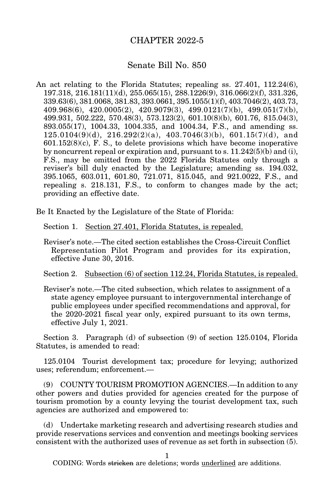## CHAPTER 2022-5

## Senate Bill No. 850

An act relating to the Florida Statutes; repealing ss. 27.401, 112.24(6), 197.318, 216.181(11)(d), 255.065(15), 288.1226(9), 316.066(2)(f), 331.326, 339.63(6), 381.0068, 381.83, 393.0661, 395.1055(1)(f), 403.7046(2), 403.73, 409.968(6), 420.0005(2), 420.9079(3), 499.0121(7)(b), 499.051(7)(b), 499.931, 502.222, 570.48(3), 573.123(2), 601.10(8)(b), 601.76, 815.04(3), 893.055(17), 1004.33, 1004.335, and 1004.34, F.S., and amending ss.  $125.0104(9)(d)$ ,  $216.292(2)(a)$ ,  $403.7046(3)(b)$ ,  $601.15(7)(d)$ , and  $601.152(8)(c)$ , F. S., to delete provisions which have become inoperative by noncurrent repeal or expiration and, pursuant to s.  $11.242(5)(b)$  and (i), F.S., may be omitted from the 2022 Florida Statutes only through a reviser's bill duly enacted by the Legislature; amending ss. 194.032, 395.1065, 603.011, 601.80, 721.071, 815.045, and 921.0022, F.S., and repealing s. 218.131, F.S., to conform to changes made by the act; providing an effective date.

Be It Enacted by the Legislature of the State of Florida:

Section 1. Section 27.401, Florida Statutes, is repealed.

Reviser's note.—The cited section establishes the Cross-Circuit Conflict Representation Pilot Program and provides for its expiration, effective June 30, 2016.

Section 2. Subsection (6) of section 112.24, Florida Statutes, is repealed.

Reviser's note.—The cited subsection, which relates to assignment of a state agency employee pursuant to intergovernmental interchange of public employees under specified recommendations and approval, for the 2020-2021 fiscal year only, expired pursuant to its own terms, effective July 1, 2021.

Section 3. Paragraph (d) of subsection (9) of section 125.0104, Florida Statutes, is amended to read:

125.0104 Tourist development tax; procedure for levying; authorized uses; referendum; enforcement.—

(9) COUNTY TOURISM PROMOTION AGENCIES.—In addition to any other powers and duties provided for agencies created for the purpose of tourism promotion by a county levying the tourist development tax, such agencies are authorized and empowered to:

(d) Undertake marketing research and advertising research studies and provide reservations services and convention and meetings booking services consistent with the authorized uses of revenue as set forth in subsection (5).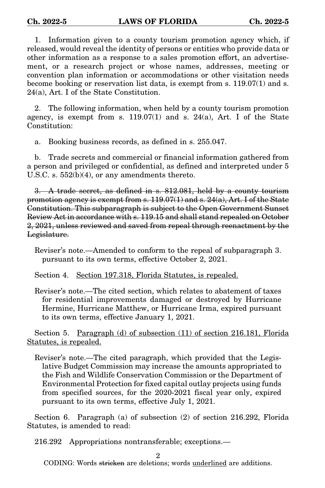1. Information given to a county tourism promotion agency which, if released, would reveal the identity of persons or entities who provide data or other information as a response to a sales promotion effort, an advertisement, or a research project or whose names, addresses, meeting or convention plan information or accommodations or other visitation needs become booking or reservation list data, is exempt from s. 119.07(1) and s. 24(a), Art. I of the State Constitution.

2. The following information, when held by a county tourism promotion agency, is exempt from s.  $119.07(1)$  and s.  $24(a)$ , Art. I of the State Constitution:

a. Booking business records, as defined in s. 255.047.

b. Trade secrets and commercial or financial information gathered from a person and privileged or confidential, as defined and interpreted under 5 U.S.C. s. 552(b)(4), or any amendments thereto.

3. A trade secret, as defined in s. 812.081, held by a county tourism promotion agency is exempt from s.  $119.07(1)$  and s.  $24(a)$ , Art. I of the State Constitution. This subparagraph is subject to the Open Government Sunset Review Act in accordance with s. 119.15 and shall stand repealed on October 2, 2021, unless reviewed and saved from repeal through reenactment by the Legislature.

Reviser's note.—Amended to conform to the repeal of subparagraph 3. pursuant to its own terms, effective October 2, 2021.

Section 4. Section 197.318, Florida Statutes, is repealed.

Reviser's note.—The cited section, which relates to abatement of taxes for residential improvements damaged or destroyed by Hurricane Hermine, Hurricane Matthew, or Hurricane Irma, expired pursuant to its own terms, effective January 1, 2021.

Section 5. Paragraph (d) of subsection (11) of section 216.181, Florida Statutes, is repealed.

Reviser's note.—The cited paragraph, which provided that the Legislative Budget Commission may increase the amounts appropriated to the Fish and Wildlife Conservation Commission or the Department of Environmental Protection for fixed capital outlay projects using funds from specified sources, for the 2020-2021 fiscal year only, expired pursuant to its own terms, effective July 1, 2021.

Section 6. Paragraph (a) of subsection (2) of section 216.292, Florida Statutes, is amended to read:

216.292 Appropriations nontransferable; exceptions.—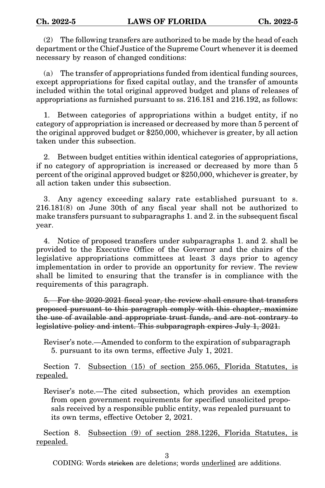(2) The following transfers are authorized to be made by the head of each department or the Chief Justice of the Supreme Court whenever it is deemed necessary by reason of changed conditions:

(a) The transfer of appropriations funded from identical funding sources, except appropriations for fixed capital outlay, and the transfer of amounts included within the total original approved budget and plans of releases of appropriations as furnished pursuant to ss. 216.181 and 216.192, as follows:

1. Between categories of appropriations within a budget entity, if no category of appropriation is increased or decreased by more than 5 percent of the original approved budget or \$250,000, whichever is greater, by all action taken under this subsection.

2. Between budget entities within identical categories of appropriations, if no category of appropriation is increased or decreased by more than 5 percent of the original approved budget or \$250,000, whichever is greater, by all action taken under this subsection.

3. Any agency exceeding salary rate established pursuant to s. 216.181(8) on June 30th of any fiscal year shall not be authorized to make transfers pursuant to subparagraphs 1. and 2. in the subsequent fiscal year.

4. Notice of proposed transfers under subparagraphs 1. and 2. shall be provided to the Executive Office of the Governor and the chairs of the legislative appropriations committees at least 3 days prior to agency implementation in order to provide an opportunity for review. The review shall be limited to ensuring that the transfer is in compliance with the requirements of this paragraph.

5. For the 2020-2021 fiscal year, the review shall ensure that transfers proposed pursuant to this paragraph comply with this chapter, maximize the use of available and appropriate trust funds, and are not contrary to legislative policy and intent. This subparagraph expires July 1, 2021.

Reviser's note.—Amended to conform to the expiration of subparagraph 5. pursuant to its own terms, effective July 1, 2021.

Section 7. Subsection (15) of section 255.065, Florida Statutes, is repealed.

Reviser's note.—The cited subsection, which provides an exemption from open government requirements for specified unsolicited proposals received by a responsible public entity, was repealed pursuant to its own terms, effective October 2, 2021.

Section 8. Subsection (9) of section 288.1226, Florida Statutes, is repealed.

3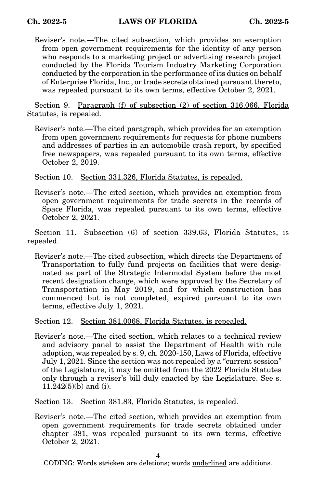Reviser's note.—The cited subsection, which provides an exemption from open government requirements for the identity of any person who responds to a marketing project or advertising research project conducted by the Florida Tourism Industry Marketing Corporation conducted by the corporation in the performance of its duties on behalf of Enterprise Florida, Inc., or trade secrets obtained pursuant thereto, was repealed pursuant to its own terms, effective October 2, 2021.

Section 9. Paragraph (f) of subsection (2) of section 316.066, Florida Statutes, is repealed.

Reviser's note.—The cited paragraph, which provides for an exemption from open government requirements for requests for phone numbers and addresses of parties in an automobile crash report, by specified free newspapers, was repealed pursuant to its own terms, effective October 2, 2019.

Section 10. Section 331.326, Florida Statutes, is repealed.

Reviser's note.—The cited section, which provides an exemption from open government requirements for trade secrets in the records of Space Florida, was repealed pursuant to its own terms, effective October 2, 2021.

Section 11. Subsection (6) of section 339.63, Florida Statutes, is repealed.

Reviser's note.—The cited subsection, which directs the Department of Transportation to fully fund projects on facilities that were designated as part of the Strategic Intermodal System before the most recent designation change, which were approved by the Secretary of Transportation in May 2019, and for which construction has commenced but is not completed, expired pursuant to its own terms, effective July 1, 2021.

Section 12. Section 381.0068, Florida Statutes, is repealed.

Reviser's note.—The cited section, which relates to a technical review and advisory panel to assist the Department of Health with rule adoption, was repealed by s. 9, ch. 2020-150, Laws of Florida, effective July 1, 2021. Since the section was not repealed by a "current session" of the Legislature, it may be omitted from the 2022 Florida Statutes only through a reviser's bill duly enacted by the Legislature. See s. 11.242(5)(b) and (i).

Section 13. Section 381.83, Florida Statutes, is repealed.

Reviser's note.—The cited section, which provides an exemption from open government requirements for trade secrets obtained under chapter 381, was repealed pursuant to its own terms, effective October 2, 2021.

4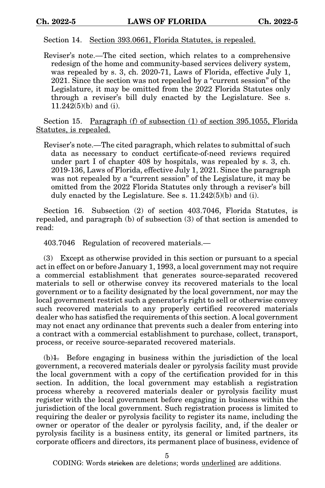Section 14. Section 393.0661, Florida Statutes, is repealed.

Reviser's note.—The cited section, which relates to a comprehensive redesign of the home and community-based services delivery system, was repealed by s. 3, ch. 2020-71, Laws of Florida, effective July 1, 2021. Since the section was not repealed by a "current session" of the Legislature, it may be omitted from the 2022 Florida Statutes only through a reviser's bill duly enacted by the Legislature. See s. 11.242(5)(b) and (i).

Section 15. Paragraph (f) of subsection (1) of section 395.1055, Florida Statutes, is repealed.

Reviser's note.—The cited paragraph, which relates to submittal of such data as necessary to conduct certificate-of-need reviews required under part I of chapter 408 by hospitals, was repealed by s. 3, ch. 2019-136, Laws of Florida, effective July 1, 2021. Since the paragraph was not repealed by a "current session" of the Legislature, it may be omitted from the 2022 Florida Statutes only through a reviser's bill duly enacted by the Legislature. See s. 11.242(5)(b) and (i).

Section 16. Subsection (2) of section 403.7046, Florida Statutes, is repealed, and paragraph (b) of subsection (3) of that section is amended to read:

403.7046 Regulation of recovered materials.—

(3) Except as otherwise provided in this section or pursuant to a special act in effect on or before January 1, 1993, a local government may not require a commercial establishment that generates source-separated recovered materials to sell or otherwise convey its recovered materials to the local government or to a facility designated by the local government, nor may the local government restrict such a generator's right to sell or otherwise convey such recovered materials to any properly certified recovered materials dealer who has satisfied the requirements of this section. A local government may not enact any ordinance that prevents such a dealer from entering into a contract with a commercial establishment to purchase, collect, transport, process, or receive source-separated recovered materials.

 $(b)$ 1. Before engaging in business within the jurisdiction of the local government, a recovered materials dealer or pyrolysis facility must provide the local government with a copy of the certification provided for in this section. In addition, the local government may establish a registration process whereby a recovered materials dealer or pyrolysis facility must register with the local government before engaging in business within the jurisdiction of the local government. Such registration process is limited to requiring the dealer or pyrolysis facility to register its name, including the owner or operator of the dealer or pyrolysis facility, and, if the dealer or pyrolysis facility is a business entity, its general or limited partners, its corporate officers and directors, its permanent place of business, evidence of

5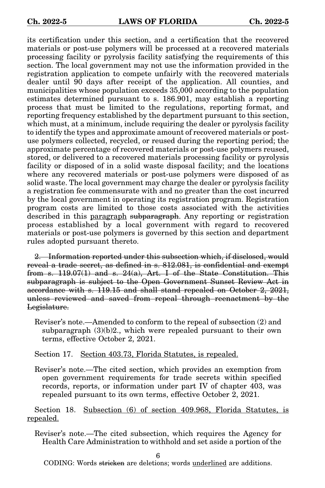its certification under this section, and a certification that the recovered materials or post-use polymers will be processed at a recovered materials processing facility or pyrolysis facility satisfying the requirements of this section. The local government may not use the information provided in the registration application to compete unfairly with the recovered materials dealer until 90 days after receipt of the application. All counties, and municipalities whose population exceeds 35,000 according to the population estimates determined pursuant to s. 186.901, may establish a reporting process that must be limited to the regulations, reporting format, and reporting frequency established by the department pursuant to this section, which must, at a minimum, include requiring the dealer or pyrolysis facility to identify the types and approximate amount of recovered materials or postuse polymers collected, recycled, or reused during the reporting period; the approximate percentage of recovered materials or post-use polymers reused, stored, or delivered to a recovered materials processing facility or pyrolysis facility or disposed of in a solid waste disposal facility; and the locations where any recovered materials or post-use polymers were disposed of as solid waste. The local government may charge the dealer or pyrolysis facility a registration fee commensurate with and no greater than the cost incurred by the local government in operating its registration program. Registration program costs are limited to those costs associated with the activities described in this <u>paragraph</u> subparagraph. Any reporting or registration process established by a local government with regard to recovered materials or post-use polymers is governed by this section and department rules adopted pursuant thereto.

2. Information reported under this subsection which, if disclosed, would reveal a trade secret, as defined in s. 812.081, is confidential and exempt from s. 119.07(1) and s. 24(a), Art. I of the State Constitution. This subparagraph is subject to the Open Government Sunset Review Act in accordance with s. 119.15 and shall stand repealed on October 2, 2021, unless reviewed and saved from repeal through reenactment by the Legislature.

Reviser's note.—Amended to conform to the repeal of subsection (2) and subparagraph (3)(b)2., which were repealed pursuant to their own terms, effective October 2, 2021.

Section 17. Section 403.73, Florida Statutes, is repealed.

Reviser's note.—The cited section, which provides an exemption from open government requirements for trade secrets within specified records, reports, or information under part IV of chapter 403, was repealed pursuant to its own terms, effective October 2, 2021.

Section 18. Subsection (6) of section 409.968, Florida Statutes, is repealed.

Reviser's note.—The cited subsection, which requires the Agency for Health Care Administration to withhold and set aside a portion of the

6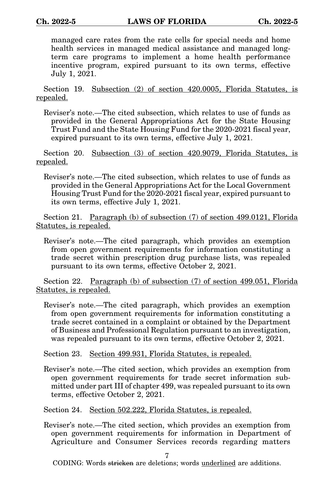managed care rates from the rate cells for special needs and home health services in managed medical assistance and managed longterm care programs to implement a home health performance incentive program, expired pursuant to its own terms, effective July 1, 2021.

Section 19. Subsection (2) of section 420.0005, Florida Statutes, is repealed.

Reviser's note.—The cited subsection, which relates to use of funds as provided in the General Appropriations Act for the State Housing Trust Fund and the State Housing Fund for the 2020-2021 fiscal year, expired pursuant to its own terms, effective July 1, 2021.

Section 20. Subsection (3) of section 420.9079, Florida Statutes, is repealed.

Reviser's note.—The cited subsection, which relates to use of funds as provided in the General Appropriations Act for the Local Government Housing Trust Fund for the 2020-2021 fiscal year, expired pursuant to its own terms, effective July 1, 2021.

Section 21. Paragraph (b) of subsection (7) of section 499.0121, Florida Statutes, is repealed.

Reviser's note.—The cited paragraph, which provides an exemption from open government requirements for information constituting a trade secret within prescription drug purchase lists, was repealed pursuant to its own terms, effective October 2, 2021.

Section 22. Paragraph (b) of subsection (7) of section 499.051, Florida Statutes, is repealed.

Reviser's note.—The cited paragraph, which provides an exemption from open government requirements for information constituting a trade secret contained in a complaint or obtained by the Department of Business and Professional Regulation pursuant to an investigation, was repealed pursuant to its own terms, effective October 2, 2021.

Section 23. Section 499.931, Florida Statutes, is repealed.

Reviser's note.—The cited section, which provides an exemption from open government requirements for trade secret information submitted under part III of chapter 499, was repealed pursuant to its own terms, effective October 2, 2021.

Section 24. Section 502.222, Florida Statutes, is repealed.

Reviser's note.—The cited section, which provides an exemption from open government requirements for information in Department of Agriculture and Consumer Services records regarding matters

7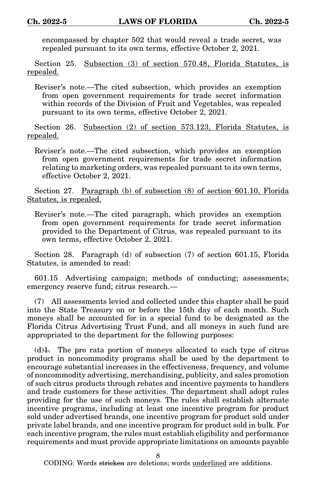encompassed by chapter 502 that would reveal a trade secret, was repealed pursuant to its own terms, effective October 2, 2021.

Section 25. Subsection (3) of section 570.48, Florida Statutes, is repealed.

Reviser's note.—The cited subsection, which provides an exemption from open government requirements for trade secret information within records of the Division of Fruit and Vegetables, was repealed pursuant to its own terms, effective October 2, 2021.

Section 26. Subsection (2) of section 573.123, Florida Statutes, is repealed.

Reviser's note.—The cited subsection, which provides an exemption from open government requirements for trade secret information relating to marketing orders, was repealed pursuant to its own terms, effective October 2, 2021.

Section 27. Paragraph (b) of subsection (8) of section 601.10, Florida Statutes, is repealed.

Reviser's note.—The cited paragraph, which provides an exemption from open government requirements for trade secret information provided to the Department of Citrus, was repealed pursuant to its own terms, effective October 2, 2021.

Section 28. Paragraph (d) of subsection (7) of section 601.15, Florida Statutes, is amended to read:

601.15 Advertising campaign; methods of conducting; assessments; emergency reserve fund; citrus research.—

(7) All assessments levied and collected under this chapter shall be paid into the State Treasury on or before the 15th day of each month. Such moneys shall be accounted for in a special fund to be designated as the Florida Citrus Advertising Trust Fund, and all moneys in such fund are appropriated to the department for the following purposes:

 $(d)$ . The pro rata portion of moneys allocated to each type of citrus product in noncommodity programs shall be used by the department to encourage substantial increases in the effectiveness, frequency, and volume of noncommodity advertising, merchandising, publicity, and sales promotion of such citrus products through rebates and incentive payments to handlers and trade customers for these activities. The department shall adopt rules providing for the use of such moneys. The rules shall establish alternate incentive programs, including at least one incentive program for product sold under advertised brands, one incentive program for product sold under private label brands, and one incentive program for product sold in bulk. For each incentive program, the rules must establish eligibility and performance requirements and must provide appropriate limitations on amounts payable

8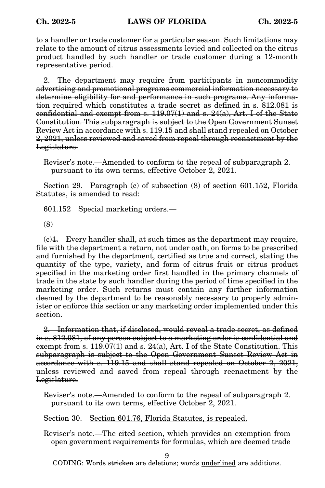to a handler or trade customer for a particular season. Such limitations may relate to the amount of citrus assessments levied and collected on the citrus product handled by such handler or trade customer during a 12-month representative period.

2. The department may require from participants in noncommodity advertising and promotional programs commercial information necessary to determine eligibility for and performance in such programs. Any information required which constitutes a trade secret as defined in s. 812.081 is confidential and exempt from s. 119.07(1) and s. 24(a), Art. I of the State Constitution. This subparagraph is subject to the Open Government Sunset Review Act in accordance with s. 119.15 and shall stand repealed on October 2, 2021, unless reviewed and saved from repeal through reenactment by the Legislature.

Reviser's note.—Amended to conform to the repeal of subparagraph 2. pursuant to its own terms, effective October 2, 2021.

Section 29. Paragraph (c) of subsection (8) of section 601.152, Florida Statutes, is amended to read:

601.152 Special marketing orders.—

(8)

 $(c)$ . Every handler shall, at such times as the department may require, file with the department a return, not under oath, on forms to be prescribed and furnished by the department, certified as true and correct, stating the quantity of the type, variety, and form of citrus fruit or citrus product specified in the marketing order first handled in the primary channels of trade in the state by such handler during the period of time specified in the marketing order. Such returns must contain any further information deemed by the department to be reasonably necessary to properly administer or enforce this section or any marketing order implemented under this section.

2. Information that, if disclosed, would reveal a trade secret, as defined in s. 812.081, of any person subject to a marketing order is confidential and exempt from s. 119.07(1) and s. 24(a), Art. I of the State Constitution. This subparagraph is subject to the Open Government Sunset Review Act in accordance with s. 119.15 and shall stand repealed on October 2, 2021, unless reviewed and saved from repeal through reenactment by the Legislature.

Reviser's note.—Amended to conform to the repeal of subparagraph 2. pursuant to its own terms, effective October 2, 2021.

Section 30. Section 601.76, Florida Statutes, is repealed.

Reviser's note.—The cited section, which provides an exemption from open government requirements for formulas, which are deemed trade

9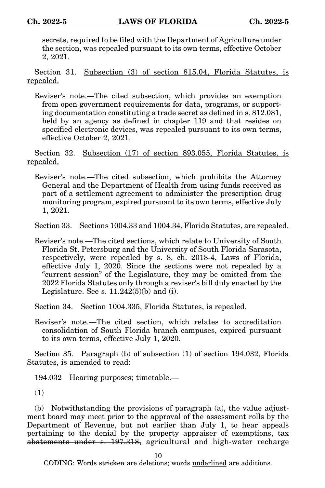secrets, required to be filed with the Department of Agriculture under the section, was repealed pursuant to its own terms, effective October 2, 2021.

Section 31. Subsection (3) of section 815.04, Florida Statutes, is repealed.

Reviser's note.—The cited subsection, which provides an exemption from open government requirements for data, programs, or supporting documentation constituting a trade secret as defined in s. 812.081, held by an agency as defined in chapter 119 and that resides on specified electronic devices, was repealed pursuant to its own terms, effective October 2, 2021.

Section 32. Subsection (17) of section 893.055, Florida Statutes, is repealed.

Reviser's note.—The cited subsection, which prohibits the Attorney General and the Department of Health from using funds received as part of a settlement agreement to administer the prescription drug monitoring program, expired pursuant to its own terms, effective July 1, 2021.

Section 33. Sections 1004.33 and 1004.34, Florida Statutes, are repealed.

Reviser's note.—The cited sections, which relate to University of South Florida St. Petersburg and the University of South Florida Sarasota, respectively, were repealed by s. 8, ch. 2018-4, Laws of Florida, effective July 1, 2020. Since the sections were not repealed by a "current session" of the Legislature, they may be omitted from the 2022 Florida Statutes only through a reviser's bill duly enacted by the Legislature. See s.  $11.242(5)(b)$  and (i).

Section 34. Section 1004.335, Florida Statutes, is repealed.

Reviser's note.—The cited section, which relates to accreditation consolidation of South Florida branch campuses, expired pursuant to its own terms, effective July 1, 2020.

Section 35. Paragraph (b) of subsection (1) of section 194.032, Florida Statutes, is amended to read:

194.032 Hearing purposes; timetable.—

(1)

(b) Notwithstanding the provisions of paragraph (a), the value adjustment board may meet prior to the approval of the assessment rolls by the Department of Revenue, but not earlier than July 1, to hear appeals pertaining to the denial by the property appraiser of exemptions, tax abatements under s. 197.318, agricultural and high-water recharge

10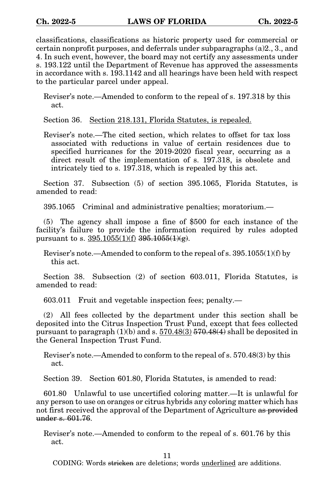classifications, classifications as historic property used for commercial or certain nonprofit purposes, and deferrals under subparagraphs (a)2., 3., and 4. In such event, however, the board may not certify any assessments under s. 193.122 until the Department of Revenue has approved the assessments in accordance with s. 193.1142 and all hearings have been held with respect to the particular parcel under appeal.

Reviser's note.—Amended to conform to the repeal of s. 197.318 by this act.

Section 36. Section 218.131, Florida Statutes, is repealed.

Reviser's note.—The cited section, which relates to offset for tax loss associated with reductions in value of certain residences due to specified hurricanes for the 2019-2020 fiscal year, occurring as a direct result of the implementation of s. 197.318, is obsolete and intricately tied to s. 197.318, which is repealed by this act.

Section 37. Subsection (5) of section 395.1065, Florida Statutes, is amended to read:

395.1065 Criminal and administrative penalties; moratorium.—

(5) The agency shall impose a fine of \$500 for each instance of the facility's failure to provide the information required by rules adopted pursuant to s.  $395.1055(1)(f)$   $395.1055(1)(g)$ .

Reviser's note.—Amended to conform to the repeal of s. 395.1055(1)(f) by this act.

Section 38. Subsection (2) of section 603.011, Florida Statutes, is amended to read:

603.011 Fruit and vegetable inspection fees; penalty.—

(2) All fees collected by the department under this section shall be deposited into the Citrus Inspection Trust Fund, except that fees collected pursuant to paragraph  $(1)(b)$  and s.  $570.48(3)$   $570.48(4)$  shall be deposited in the General Inspection Trust Fund.

Reviser's note.—Amended to conform to the repeal of s. 570.48(3) by this act.

Section 39. Section 601.80, Florida Statutes, is amended to read:

601.80 Unlawful to use uncertified coloring matter.—It is unlawful for any person to use on oranges or citrus hybrids any coloring matter which has not first received the approval of the Department of Agriculture as provided under s. 601.76.

Reviser's note.—Amended to conform to the repeal of s. 601.76 by this act.

11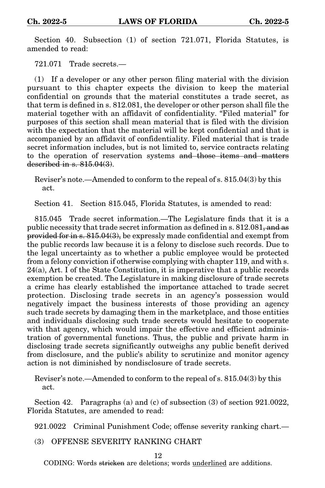Section 40. Subsection (1) of section 721.071, Florida Statutes, is amended to read:

721.071 Trade secrets.—

(1) If a developer or any other person filing material with the division pursuant to this chapter expects the division to keep the material confidential on grounds that the material constitutes a trade secret, as that term is defined in s. 812.081, the developer or other person shall file the material together with an affidavit of confidentiality. "Filed material" for purposes of this section shall mean material that is filed with the division with the expectation that the material will be kept confidential and that is accompanied by an affidavit of confidentiality. Filed material that is trade secret information includes, but is not limited to, service contracts relating to the operation of reservation systems and those items and matters described in s. 815.04(3).

Reviser's note.—Amended to conform to the repeal of s. 815.04(3) by this act.

Section 41. Section 815.045, Florida Statutes, is amended to read:

815.045 Trade secret information.—The Legislature finds that it is a public necessity that trade secret information as defined in s. 812.081, and as provided for in s.  $815.04(3)$ , be expressly made confidential and exempt from the public records law because it is a felony to disclose such records. Due to the legal uncertainty as to whether a public employee would be protected from a felony conviction if otherwise complying with chapter 119, and with s. 24(a), Art. I of the State Constitution, it is imperative that a public records exemption be created. The Legislature in making disclosure of trade secrets a crime has clearly established the importance attached to trade secret protection. Disclosing trade secrets in an agency's possession would negatively impact the business interests of those providing an agency such trade secrets by damaging them in the marketplace, and those entities and individuals disclosing such trade secrets would hesitate to cooperate with that agency, which would impair the effective and efficient administration of governmental functions. Thus, the public and private harm in disclosing trade secrets significantly outweighs any public benefit derived from disclosure, and the public's ability to scrutinize and monitor agency action is not diminished by nondisclosure of trade secrets.

Reviser's note.—Amended to conform to the repeal of s. 815.04(3) by this act.

Section 42. Paragraphs (a) and (c) of subsection (3) of section 921.0022, Florida Statutes, are amended to read:

921.0022 Criminal Punishment Code; offense severity ranking chart.—

(3) OFFENSE SEVERITY RANKING CHART

12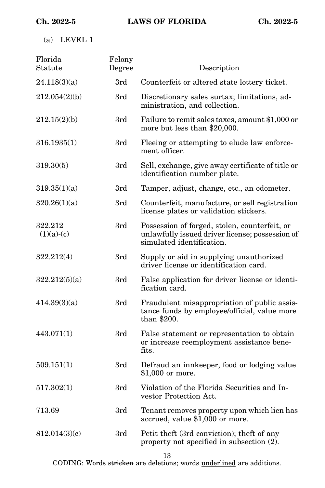(a) LEVEL 1

| Florida<br>Statute      | Felony<br>Degree | Description                                                                                                                   |
|-------------------------|------------------|-------------------------------------------------------------------------------------------------------------------------------|
| 24.118(3)(a)            | 3rd              | Counterfeit or altered state lottery ticket.                                                                                  |
| 212.054(2)(b)           | 3rd              | Discretionary sales surtax; limitations, ad-<br>ministration, and collection.                                                 |
| 212.15(2)(b)            | 3rd              | Failure to remit sales taxes, amount \$1,000 or<br>more but less than \$20,000.                                               |
| 316.1935(1)             | 3rd              | Fleeing or attempting to elude law enforce-<br>ment officer.                                                                  |
| 319.30(5)               | 3rd              | Sell, exchange, give away certificate of title or<br>identification number plate.                                             |
| 319.35(1)(a)            | 3rd              | Tamper, adjust, change, etc., an odometer.                                                                                    |
| 320.26(1)(a)            | 3rd              | Counterfeit, manufacture, or sell registration<br>license plates or validation stickers.                                      |
| 322.212<br>$(1)(a)-(c)$ | 3rd              | Possession of forged, stolen, counterfeit, or<br>unlawfully issued driver license; possession of<br>simulated identification. |
| 322.212(4)              | 3rd              | Supply or aid in supplying unauthorized<br>driver license or identification card.                                             |
| 322.212(5)(a)           | 3rd              | False application for driver license or identi-<br>fication card.                                                             |
| 414.39(3)(a)            | 3rd              | Fraudulent misappropriation of public assis-<br>tance funds by employee/official, value more<br>than \$200.                   |
| 443.071(1)              | 3rd              | False statement or representation to obtain<br>or increase reemployment assistance bene-<br>fits.                             |
| 509.151(1)              | 3rd              | Defraud an innkeeper, food or lodging value<br>\$1,000 or more.                                                               |
| 517.302(1)              | 3rd              | Violation of the Florida Securities and In-<br>vestor Protection Act.                                                         |
| 713.69                  | 3rd              | Tenant removes property upon which lien has<br>accrued, value \$1,000 or more.                                                |
| 812.014(3)(c)           | 3rd              | Petit theft (3rd conviction); theft of any<br>property not specified in subsection (2).                                       |
|                         |                  |                                                                                                                               |

13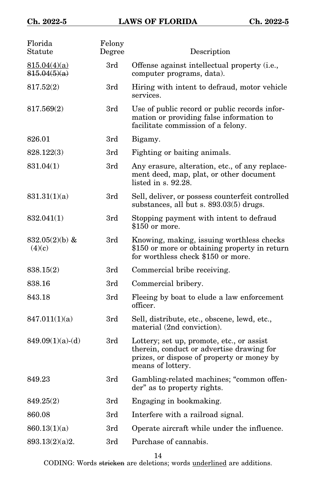| Florida<br>Statute           | Felony<br>Degree | Description                                                                                                                                               |
|------------------------------|------------------|-----------------------------------------------------------------------------------------------------------------------------------------------------------|
| 815.04(4)(a)<br>815.04(5)(a) | 3rd              | Offense against intellectual property (i.e.,<br>computer programs, data).                                                                                 |
| 817.52(2)                    | 3rd              | Hiring with intent to defraud, motor vehicle<br>services.                                                                                                 |
| 817.569(2)                   | 3rd              | Use of public record or public records infor-<br>mation or providing false information to<br>facilitate commission of a felony.                           |
| 826.01                       | 3rd              | Bigamy.                                                                                                                                                   |
| 828.122(3)                   | 3rd              | Fighting or baiting animals.                                                                                                                              |
| 831.04(1)                    | 3rd              | Any erasure, alteration, etc., of any replace-<br>ment deed, map, plat, or other document<br>listed in $s. 92.28$ .                                       |
| 831.31(1)(a)                 | 3rd              | Sell, deliver, or possess counterfeit controlled<br>substances, all but s. 893.03(5) drugs.                                                               |
| 832.041(1)                   | 3rd              | Stopping payment with intent to defraud<br>\$150 or more.                                                                                                 |
| 832.05 $(2)(b)$ &<br>(4)(c)  | 3rd              | Knowing, making, issuing worthless checks<br>\$150 or more or obtaining property in return<br>for worthless check \$150 or more.                          |
| 838.15(2)                    | 3rd              | Commercial bribe receiving.                                                                                                                               |
| 838.16                       | 3rd              | Commercial bribery.                                                                                                                                       |
| 843.18                       | 3rd              | Fleeing by boat to elude a law enforcement<br>officer.                                                                                                    |
| 847.011(1)(a)                | 3rd              | Sell, distribute, etc., obscene, lewd, etc.,<br>material (2nd conviction).                                                                                |
| $849.09(1)(a)-(d)$           | 3rd              | Lottery; set up, promote, etc., or assist<br>therein, conduct or advertise drawing for<br>prizes, or dispose of property or money by<br>means of lottery. |
| 849.23                       | 3rd              | Gambling-related machines; "common offen-<br>der" as to property rights.                                                                                  |
| 849.25(2)                    | 3rd              | Engaging in bookmaking.                                                                                                                                   |
| 860.08                       | 3rd              | Interfere with a railroad signal.                                                                                                                         |
| 860.13(1)(a)                 | 3rd              | Operate aircraft while under the influence.                                                                                                               |
| 893.13(2)(a)2.               | 3rd              | Purchase of cannabis.                                                                                                                                     |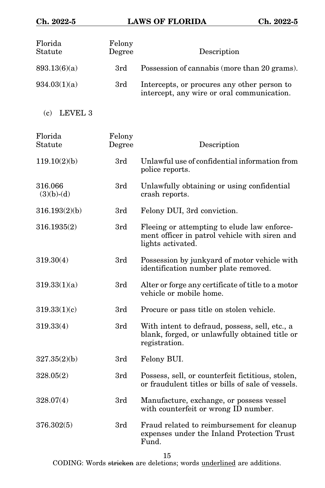| Florida<br>Statute      | Felony<br>Degree | Description                                                                                                       |
|-------------------------|------------------|-------------------------------------------------------------------------------------------------------------------|
| 893.13(6)(a)            | 3rd              | Possession of cannabis (more than 20 grams).                                                                      |
| 934.03(1)(a)            | 3rd              | Intercepts, or procures any other person to<br>intercept, any wire or oral communication.                         |
| (c)<br>LEVEL 3          |                  |                                                                                                                   |
| Florida<br>Statute      | Felony<br>Degree | Description                                                                                                       |
| 119.10(2)(b)            | 3rd              | Unlawful use of confidential information from<br>police reports.                                                  |
| 316.066<br>$(3)(b)-(d)$ | 3rd              | Unlawfully obtaining or using confidential<br>crash reports.                                                      |
| 316.193(2)(b)           | 3rd              | Felony DUI, 3rd conviction.                                                                                       |
| 316.1935(2)             | 3rd              | Fleeing or attempting to elude law enforce-<br>ment officer in patrol vehicle with siren and<br>lights activated. |
| 319.30(4)               | 3rd              | Possession by junkyard of motor vehicle with<br>identification number plate removed.                              |
| 319.33(1)(a)            | 3rd              | Alter or forge any certificate of title to a motor<br>vehicle or mobile home.                                     |
| 319.33(1)(c)            | 3rd              | Procure or pass title on stolen vehicle.                                                                          |
| 319.33(4)               | 3rd              | With intent to defraud, possess, sell, etc., a<br>blank, forged, or unlawfully obtained title or<br>registration. |
| 327.35(2)(b)            | 3rd              | Felony BUI.                                                                                                       |
| 328.05(2)               | 3rd              | Possess, sell, or counterfeit fictitious, stolen,<br>or fraudulent titles or bills of sale of vessels.            |
| 328.07(4)               | 3rd              | Manufacture, exchange, or possess vessel<br>with counterfeit or wrong ID number.                                  |
| 376.302(5)              | 3rd              | Fraud related to reimbursement for cleanup<br>expenses under the Inland Protection Trust<br>Fund.                 |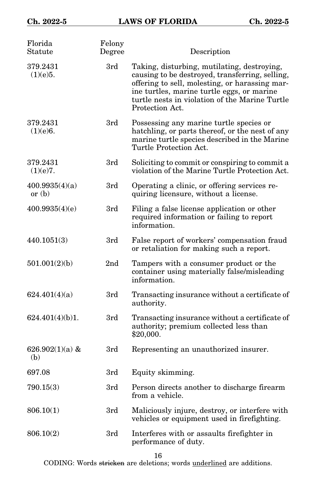| Florida<br>Statute         | Felony<br>Degree | Description                                                                                                                                                                                                                                                         |
|----------------------------|------------------|---------------------------------------------------------------------------------------------------------------------------------------------------------------------------------------------------------------------------------------------------------------------|
| 379.2431<br>(1)(e)5.       | 3rd              | Taking, disturbing, mutilating, destroying,<br>causing to be destroyed, transferring, selling,<br>offering to sell, molesting, or harassing mar-<br>ine turtles, marine turtle eggs, or marine<br>turtle nests in violation of the Marine Turtle<br>Protection Act. |
| 379.2431<br>(1)(e)6.       | 3rd              | Possessing any marine turtle species or<br>hatchling, or parts thereof, or the nest of any<br>marine turtle species described in the Marine<br>Turtle Protection Act.                                                                                               |
| 379.2431<br>(1)(e)7.       | 3rd              | Soliciting to commit or conspiring to commit a<br>violation of the Marine Turtle Protection Act.                                                                                                                                                                    |
| 400.9935(4)(a)<br>or $(b)$ | 3rd              | Operating a clinic, or offering services re-<br>quiring licensure, without a license.                                                                                                                                                                               |
| 400.9935(4)(e)             | 3rd              | Filing a false license application or other<br>required information or failing to report<br>information.                                                                                                                                                            |
| 440.1051(3)                | 3rd              | False report of workers' compensation fraud<br>or retaliation for making such a report.                                                                                                                                                                             |
| 501.001(2)(b)              | 2 <sub>nd</sub>  | Tampers with a consumer product or the<br>container using materially false/misleading<br>information.                                                                                                                                                               |
| 624.401(4)(a)              | 3rd              | Transacting insurance without a certificate of<br>authority.                                                                                                                                                                                                        |
| 624.401(4)(b)1.            | 3rd              | Transacting insurance without a certificate of<br>authority; premium collected less than<br>\$20,000.                                                                                                                                                               |
| 626.902 $(1)(a)$ &<br>(b)  | 3rd              | Representing an unauthorized insurer.                                                                                                                                                                                                                               |
| 697.08                     | 3rd              | Equity skimming.                                                                                                                                                                                                                                                    |
| 790.15(3)                  | 3rd              | Person directs another to discharge firearm<br>from a vehicle.                                                                                                                                                                                                      |
| 806.10(1)                  | 3rd              | Maliciously injure, destroy, or interfere with<br>vehicles or equipment used in firefighting.                                                                                                                                                                       |
| 806.10(2)                  | 3rd              | Interferes with or assaults firefighter in<br>performance of duty.                                                                                                                                                                                                  |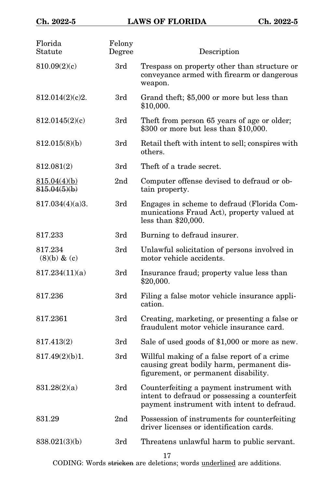| Florida<br>Statute           | Felony<br>Degree | Description                                                                                                                             |
|------------------------------|------------------|-----------------------------------------------------------------------------------------------------------------------------------------|
| 810.09(2)(c)                 | 3rd              | Trespass on property other than structure or<br>conveyance armed with firearm or dangerous<br>weapon.                                   |
| 812.014(2)(c)2.              | 3rd              | Grand theft; \$5,000 or more but less than<br>\$10,000.                                                                                 |
| 812.0145(2)(c)               | 3rd              | Theft from person 65 years of age or older;<br>\$300 or more but less than \$10,000.                                                    |
| 812.015(8)(b)                | 3rd              | Retail theft with intent to sell; conspires with<br>others.                                                                             |
| 812.081(2)                   | 3rd              | Theft of a trade secret.                                                                                                                |
| 815.04(4)(b)<br>815.04(5)(b) | 2 <sub>nd</sub>  | Computer offense devised to defraud or ob-<br>tain property.                                                                            |
| 817.034(4)(a)3.              | 3rd              | Engages in scheme to defraud (Florida Com-<br>munications Fraud Act), property valued at<br>less than $$20,000$ .                       |
| 817.233                      | 3rd              | Burning to defraud insurer.                                                                                                             |
| 817.234<br>$(8)(b)$ & $(c)$  | 3rd              | Unlawful solicitation of persons involved in<br>motor vehicle accidents.                                                                |
| 817.234(11)(a)               | 3rd              | Insurance fraud; property value less than<br>\$20,000.                                                                                  |
| 817.236                      | 3rd              | Filing a false motor vehicle insurance appli-<br>cation.                                                                                |
| 817.2361                     | 3rd              | Creating, marketing, or presenting a false or<br>fraudulent motor vehicle insurance card.                                               |
| 817.413(2)                   | 3rd              | Sale of used goods of \$1,000 or more as new.                                                                                           |
| 817.49(2)(b)1.               | 3rd              | Willful making of a false report of a crime<br>causing great bodily harm, permanent dis-<br>figurement, or permanent disability.        |
| 831.28(2)(a)                 | 3rd              | Counterfeiting a payment instrument with<br>intent to defraud or possessing a counterfeit<br>payment instrument with intent to defraud. |
| 831.29                       | 2 <sub>nd</sub>  | Possession of instruments for counterfeiting<br>driver licenses or identification cards.                                                |
| 838.021(3)(b)                | 3rd              | Threatens unlawful harm to public servant.                                                                                              |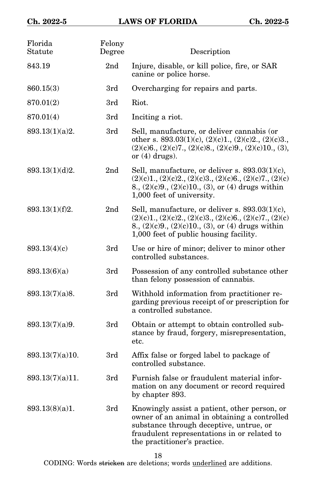| Florida<br>Statute | Felony<br>Degree | Description                                                                                                                                                                                                            |
|--------------------|------------------|------------------------------------------------------------------------------------------------------------------------------------------------------------------------------------------------------------------------|
| 843.19             | 2 <sub>nd</sub>  | Injure, disable, or kill police, fire, or SAR<br>canine or police horse.                                                                                                                                               |
| 860.15(3)          | 3rd              | Overcharging for repairs and parts.                                                                                                                                                                                    |
| 870.01(2)          | 3rd              | Riot.                                                                                                                                                                                                                  |
| 870.01(4)          | 3rd              | Inciting a riot.                                                                                                                                                                                                       |
| 893.13(1)(a)2.     | 3rd              | Sell, manufacture, or deliver cannabis (or<br>other s. 893.03(1)(c), (2)(c)1., (2)(c)2., (2)(c)3.,<br>$(2)(c)6, (2)(c)7, (2)(c)8, (2)(c)9, (2)(c)10, (3),$<br>or $(4)$ drugs).                                         |
| 893.13(1)(d)2.     | 2 <sub>nd</sub>  | Sell, manufacture, or deliver s. $893.03(1)(c)$ ,<br>$(2)(c)1, (2)(c)2, (2)(c)3, (2)(c)6, (2)(c)7, (2)(c)$<br>8., $(2)(c)9$ ., $(2)(c)10$ ., $(3)$ , or $(4)$ drugs within<br>1,000 feet of university.                |
| 893.13(1)(f)2.     | 2 <sub>nd</sub>  | Sell, manufacture, or deliver s. $893.03(1)(c)$ ,<br>$(2)(c)1, (2)(c)2, (2)(c)3, (2)(c)6, (2)(c)7, (2)(c)$<br>8., $(2)(c)9$ ., $(2)(c)10$ ., $(3)$ , or $(4)$ drugs within<br>1,000 feet of public housing facility.   |
| 893.13(4)(c)       | 3rd              | Use or hire of minor; deliver to minor other<br>controlled substances.                                                                                                                                                 |
| 893.13(6)(a)       | 3rd              | Possession of any controlled substance other<br>than felony possession of cannabis.                                                                                                                                    |
| 893.13(7)(a)8.     | 3rd              | Withhold information from practitioner re-<br>garding previous receipt of or prescription for<br>a controlled substance.                                                                                               |
| 893.13(7)(a)9.     | 3rd              | Obtain or attempt to obtain controlled sub-<br>stance by fraud, forgery, misrepresentation,<br>etc.                                                                                                                    |
| 893.13(7)(a)10.    | 3rd              | Affix false or forged label to package of<br>controlled substance.                                                                                                                                                     |
| 893.13(7)(a)11.    | 3rd              | Furnish false or fraudulent material infor-<br>mation on any document or record required<br>by chapter 893.                                                                                                            |
| 893.13(8)(a)1.     | 3rd              | Knowingly assist a patient, other person, or<br>owner of an animal in obtaining a controlled<br>substance through deceptive, untrue, or<br>fraudulent representations in or related to<br>the practitioner's practice. |